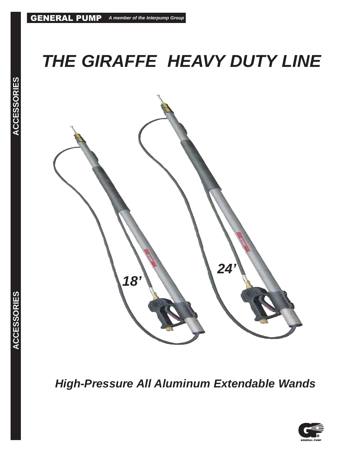# **THE GIRAFFE HEAVY DUTY LINE**



**High-Pressure All Aluminum Extendable Wands**

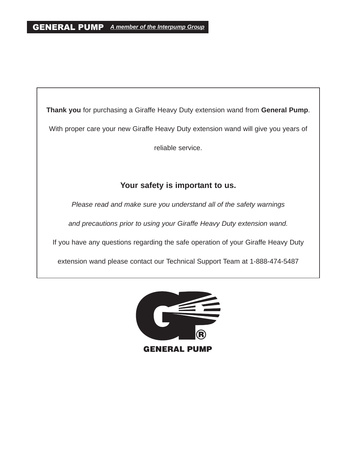**Thank you** for purchasing a Giraffe Heavy Duty extension wand from **General Pump**. With proper care your new Giraffe Heavy Duty extension wand will give you years of reliable service.

# **Your safety is important to us.**

Please read and make sure you understand all of the safety warnings

and precautions prior to using your Giraffe Heavy Duty extension wand.

If you have any questions regarding the safe operation of your Giraffe Heavy Duty

extension wand please contact our Technical Support Team at 1-888-474-5487

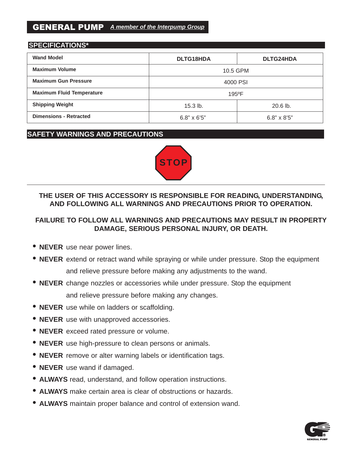# GENERAL PUMP **A member of the Interpump Group**

#### **SPECIFICATIONS\***

| <b>Wand Model</b>                | <b>DLTG18HDA</b>   | <b>DLTG24HDA</b>   |  |
|----------------------------------|--------------------|--------------------|--|
| <b>Maximum Volume</b>            | 10.5 GPM           |                    |  |
| <b>Maximum Gun Pressure</b>      | 4000 PSI           |                    |  |
| <b>Maximum Fluid Temperature</b> | $195^{\circ}$ F    |                    |  |
| <b>Shipping Weight</b>           | $15.3$ lb.         | $20.6$ lb.         |  |
| <b>Dimensions - Retracted</b>    | $6.8" \times 6'5"$ | $6.8" \times 8'5"$ |  |

## **SAFETY WARNINGS AND PRECAUTIONS**



# **THE USER OF THIS ACCESSORY IS RESPONSIBLE FOR READING, UNDERSTANDING, AND FOLLOWING ALL WARNINGS AND PRECAUTIONS PRIOR TO OPERATION.**

# **FAILURE TO FOLLOW ALL WARNINGS AND PRECAUTIONS MAY RESULT IN PROPERTY DAMAGE, SERIOUS PERSONAL INJURY, OR DEATH.**

- **NEVER** use near power lines.
- **NEVER** extend or retract wand while spraying or while under pressure. Stop the equipment and relieve pressure before making any adjustments to the wand.
- **NEVER** change nozzles or accessories while under pressure. Stop the equipment and relieve pressure before making any changes.
- **NEVER** use while on ladders or scaffolding.
- **NEVER** use with unapproved accessories.
- **NEVER** exceed rated pressure or volume.
- **NEVER** use high-pressure to clean persons or animals.
- **NEVER** remove or alter warning labels or identification tags.
- **NEVER** use wand if damaged.
- **ALWAYS** read, understand, and follow operation instructions.
- **ALWAYS** make certain area is clear of obstructions or hazards.
- **ALWAYS** maintain proper balance and control of extension wand.

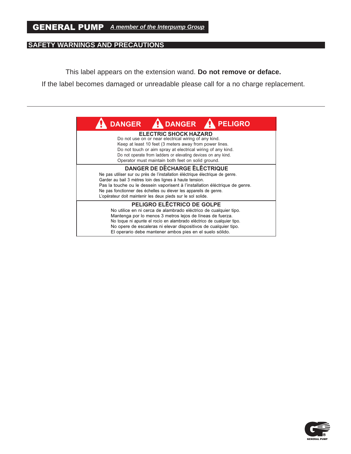## **SAFETY WARNINGS AND PRECAUTIONS**

This label appears on the extension wand. **Do not remove or deface.** 

If the label becomes damaged or unreadable please call for a no charge replacement.

| <b>A DANGER</b><br><b>PELIGRO</b><br><b>DANGER</b>                                                                                                                                                                                                                                                                                                                                                     |
|--------------------------------------------------------------------------------------------------------------------------------------------------------------------------------------------------------------------------------------------------------------------------------------------------------------------------------------------------------------------------------------------------------|
| <b>ELECTRIC SHOCK HAZARD</b><br>Do not use on or near electrical wiring of any kind.<br>Keep at least 10 feet (3 meters away from power lines.<br>Do not touch or aim spray at electrical wiring of any kind.<br>Do not operate from ladders or elevating devices on any kind.<br>Operator must maintain both feet on solid ground.                                                                    |
| <b>DANGER DE DÉCHARGE ÉLÉCTRIQUE</b><br>Ne pas utiliser sur ou près de l'installation éléctrique électrique de genre.<br>Garder au bail 3 mètres loin des lignes à haute tension.<br>Pas la touche ou le dessein vaporisent à l'installation éléctrique de genre.<br>Ne pas fonctionner des échelles ou élever les appareils de genre.<br>L'opérateur doit maintenir les deux pieds sur le sol solide. |
| PELIGRO ELÉCTRICO DE GOLPE<br>No utilice en ni cerca de alambrado eléctrico de cualquier tipo.<br>Mantenga por lo menos 3 metros lejos de líneas de fuerza.<br>No toque ni apunte el rocío en alambrado eléctrico de cualquier tipo.<br>No opere de escaleras ni elevar dispositivos de cualquier tipo.<br>El operario debe mantener ambos pies en el suelo sólido.                                    |

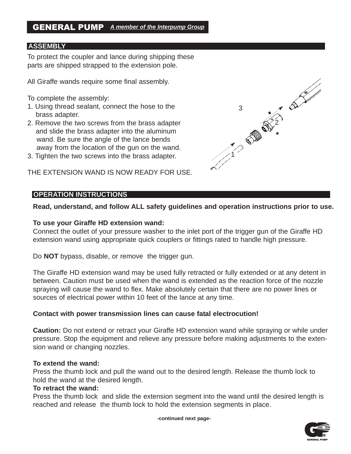#### **ASSEMBLY**

To protect the coupler and lance during shipping these parts are shipped strapped to the extension pole.

All Giraffe wands require some final assembly.

To complete the assembly:

- 1. Using thread sealant, connect the hose to the brass adapter.
- 2. Remove the two screws from the brass adapter and slide the brass adapter into the aluminum wand. Be sure the angle of the lance bends away from the location of the gun on the wand.
- 3. Tighten the two screws into the brass adapter.

THE EXTENSION WAND IS NOW READY FOR USE.

#### **OPERATION INSTRUCTIONS**

**Read, understand, and follow ALL safety guidelines and operation instructions prior to use.**

#### **To use your Giraffe HD extension wand:**

Connect the outlet of your pressure washer to the inlet port of the trigger gun of the Giraffe HD extension wand using appropriate quick couplers or fittings rated to handle high pressure.

Do **NOT** bypass, disable, or remove the trigger gun.

The Giraffe HD extension wand may be used fully retracted or fully extended or at any detent in between. Caution must be used when the wand is extended as the reaction force of the nozzle spraying will cause the wand to flex. Make absolutely certain that there are no power lines or sources of electrical power within 10 feet of the lance at any time.

#### **Contact with power transmission lines can cause fatal electrocution!**

**Caution:** Do not extend or retract your Giraffe HD extension wand while spraying or while under pressure. Stop the equipment and relieve any pressure before making adjustments to the extension wand or changing nozzles.

#### **To extend the wand:**

Press the thumb lock and pull the wand out to the desired length. Release the thumb lock to hold the wand at the desired length.

#### **To retract the wand:**

Press the thumb lock and slide the extension segment into the wand until the desired length is reached and release the thumb lock to hold the extension segments in place.

**-continued next page-**



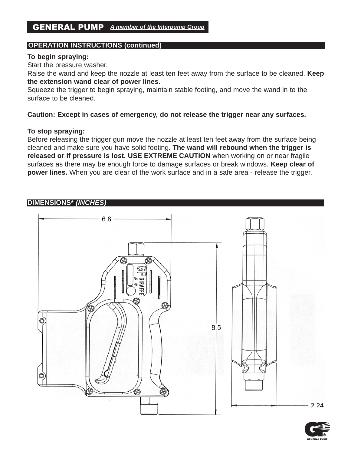# **OPERATION INSTRUCTIONS (continued)**

#### **To begin spraying:**

Start the pressure washer.

Raise the wand and keep the nozzle at least ten feet away from the surface to be cleaned. **Keep the extension wand clear of power lines.** 

Squeeze the trigger to begin spraying, maintain stable footing, and move the wand in to the surface to be cleaned.

**Caution: Except in cases of emergency, do not release the trigger near any surfaces.**

#### **To stop spraying:**

Before releasing the trigger gun move the nozzle at least ten feet away from the surface being cleaned and make sure you have solid footing. **The wand will rebound when the trigger is released or if pressure is lost. USE EXTREME CAUTION** when working on or near fragile surfaces as there may be enough force to damage surfaces or break windows. **Keep clear of power lines.** When you are clear of the work surface and in a safe area - release the trigger.

#### **DIMENSIONS\* (INCHES)**